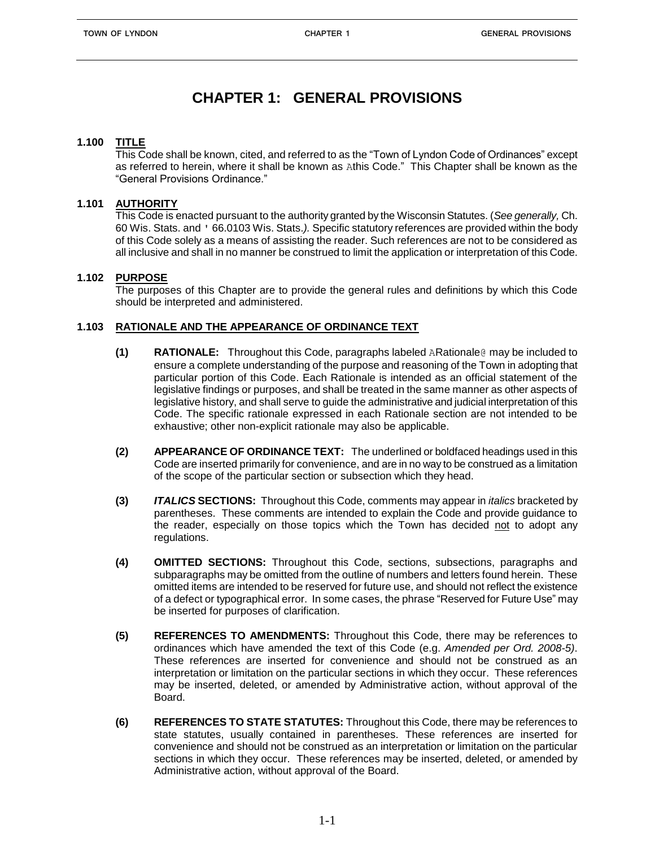# **CHAPTER 1: GENERAL PROVISIONS**

#### **1.100 TITLE**

 This Code shall be known, cited, and referred to as the "Town of Lyndon Code of Ordinances" except as referred to herein, where it shall be known as Athis Code." This Chapter shall be known as the "General Provisions Ordinance."

#### **1.101 AUTHORITY**

This Code is enacted pursuant to the authority granted by the Wisconsin Statutes. (*See generally,* Ch. 60 Wis. Stats. and ' 66.0103 Wis. Stats.*).* Specific statutory references are provided within the body of this Code solely as a means of assisting the reader. Such references are not to be considered as all inclusive and shall in no manner be construed to limit the application or interpretation of this Code.

#### **1.102 PURPOSE**

The purposes of this Chapter are to provide the general rules and definitions by which this Code should be interpreted and administered.

#### **1.103 RATIONALE AND THE APPEARANCE OF ORDINANCE TEXT**

- **(1) RATIONALE:** Throughout this Code, paragraphs labeled ARationale@ may be included to ensure a complete understanding of the purpose and reasoning of the Town in adopting that particular portion of this Code. Each Rationale is intended as an official statement of the legislative findings or purposes, and shall be treated in the same manner as other aspects of legislative history, and shall serve to guide the administrative and judicial interpretation of this Code. The specific rationale expressed in each Rationale section are not intended to be exhaustive; other non-explicit rationale may also be applicable.
- **(2) APPEARANCE OF ORDINANCE TEXT:** The underlined or boldfaced headings used in this Code are inserted primarily for convenience, and are in no way to be construed as a limitation of the scope of the particular section or subsection which they head.
- **(3)** *ITALICS* **SECTIONS:** Throughout this Code, comments may appear in *italics* bracketed by parentheses. These comments are intended to explain the Code and provide guidance to the reader, especially on those topics which the Town has decided not to adopt any regulations.
- **(4) OMITTED SECTIONS:** Throughout this Code, sections, subsections, paragraphs and subparagraphs may be omitted from the outline of numbers and letters found herein. These omitted items are intended to be reserved for future use, and should not reflect the existence of a defect or typographical error. In some cases, the phrase "Reserved for Future Use" may be inserted for purposes of clarification.
- **(5) REFERENCES TO AMENDMENTS:** Throughout this Code, there may be references to ordinances which have amended the text of this Code (e.g. *Amended per Ord. 2008-5)*. These references are inserted for convenience and should not be construed as an interpretation or limitation on the particular sections in which they occur. These references may be inserted, deleted, or amended by Administrative action, without approval of the Board.
- **(6) REFERENCES TO STATE STATUTES:** Throughout this Code, there may be references to state statutes, usually contained in parentheses. These references are inserted for convenience and should not be construed as an interpretation or limitation on the particular sections in which they occur. These references may be inserted, deleted, or amended by Administrative action, without approval of the Board.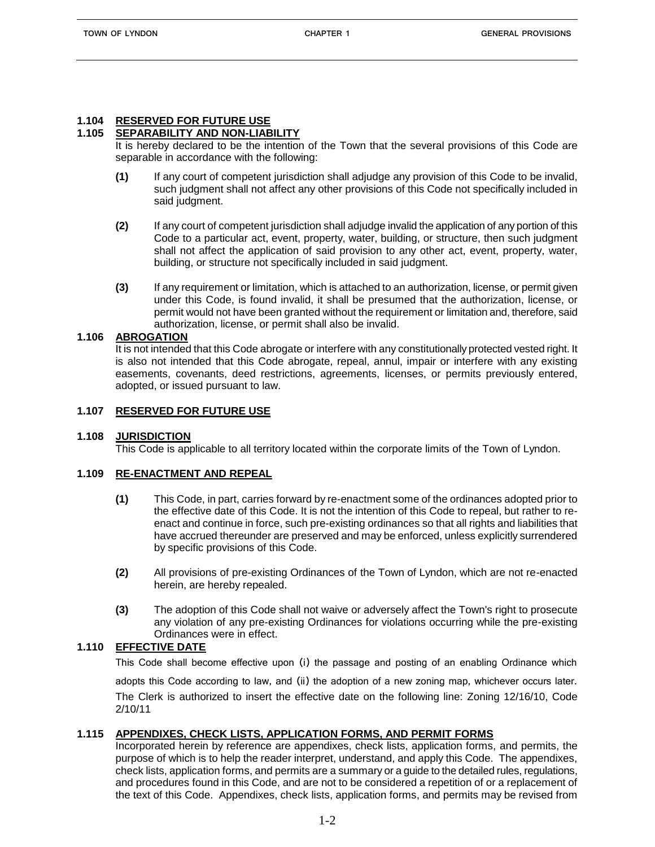# **1.104 RESERVED FOR FUTURE USE**

# **1.105 SEPARABILITY AND NON-LIABILITY**

It is hereby declared to be the intention of the Town that the several provisions of this Code are separable in accordance with the following:

- **(1)** If any court of competent jurisdiction shall adjudge any provision of this Code to be invalid, such judgment shall not affect any other provisions of this Code not specifically included in said judgment.
- **(2)** If any court of competent jurisdiction shall adjudge invalid the application of any portion of this Code to a particular act, event, property, water, building, or structure, then such judgment shall not affect the application of said provision to any other act, event, property, water, building, or structure not specifically included in said judgment.
- **(3)** If any requirement or limitation, which is attached to an authorization, license, or permit given under this Code, is found invalid, it shall be presumed that the authorization, license, or permit would not have been granted without the requirement or limitation and, therefore, said authorization, license, or permit shall also be invalid.

#### **1.106 ABROGATION**

It is not intended that this Code abrogate or interfere with any constitutionally protected vested right. It is also not intended that this Code abrogate, repeal, annul, impair or interfere with any existing easements, covenants, deed restrictions, agreements, licenses, or permits previously entered, adopted, or issued pursuant to law.

# **1.107 RESERVED FOR FUTURE USE**

#### **1.108 JURISDICTION**

This Code is applicable to all territory located within the corporate limits of the Town of Lyndon.

## **1.109 RE-ENACTMENT AND REPEAL**

- **(1)** This Code, in part, carries forward by re-enactment some of the ordinances adopted prior to the effective date of this Code. It is not the intention of this Code to repeal, but rather to reenact and continue in force, such pre-existing ordinances so that all rights and liabilities that have accrued thereunder are preserved and may be enforced, unless explicitly surrendered by specific provisions of this Code.
- **(2)** All provisions of pre-existing Ordinances of the Town of Lyndon, which are not re-enacted herein, are hereby repealed.
- **(3)** The adoption of this Code shall not waive or adversely affect the Town's right to prosecute any violation of any pre-existing Ordinances for violations occurring while the pre-existing Ordinances were in effect.

# **1.110 EFFECTIVE DATE**

This Code shall become effective upon (i) the passage and posting of an enabling Ordinance which

adopts this Code according to law, and (ii) the adoption of a new zoning map, whichever occurs later. The Clerk is authorized to insert the effective date on the following line: Zoning 12/16/10, Code 2/10/11

## **1.115 APPENDIXES, CHECK LISTS, APPLICATION FORMS, AND PERMIT FORMS**

Incorporated herein by reference are appendixes, check lists, application forms, and permits, the purpose of which is to help the reader interpret, understand, and apply this Code. The appendixes, check lists, application forms, and permits are a summary or a guide to the detailed rules, regulations, and procedures found in this Code, and are not to be considered a repetition of or a replacement of the text of this Code. Appendixes, check lists, application forms, and permits may be revised from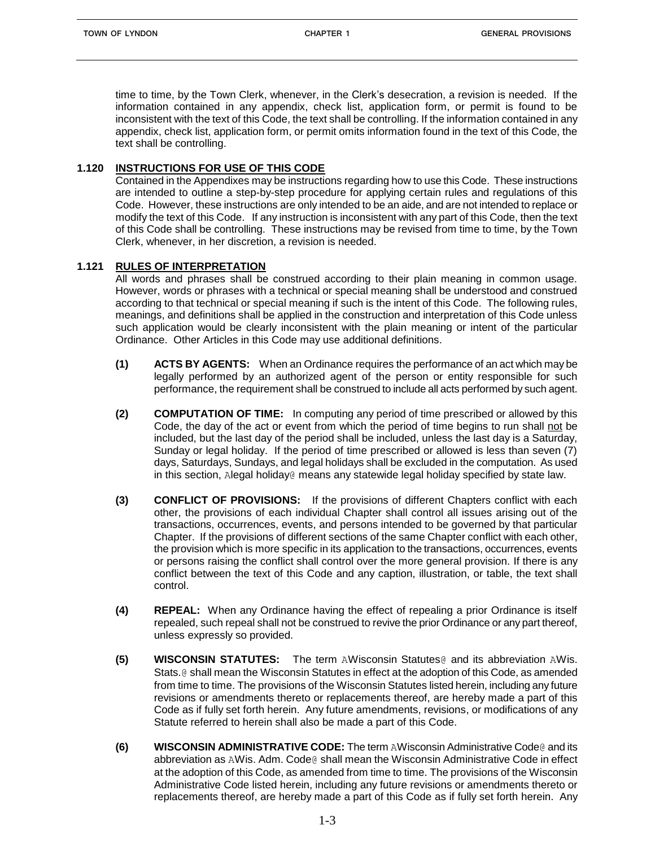time to time, by the Town Clerk, whenever, in the Clerk's desecration, a revision is needed. If the information contained in any appendix, check list, application form, or permit is found to be inconsistent with the text of this Code, the text shall be controlling. If the information contained in any appendix, check list, application form, or permit omits information found in the text of this Code, the text shall be controlling.

# **1.120 INSTRUCTIONS FOR USE OF THIS CODE**

Contained in the Appendixes may be instructions regarding how to use this Code. These instructions are intended to outline a step-by-step procedure for applying certain rules and regulations of this Code. However, these instructions are only intended to be an aide, and are not intended to replace or modify the text of this Code. If any instruction is inconsistent with any part of this Code, then the text of this Code shall be controlling. These instructions may be revised from time to time, by the Town Clerk, whenever, in her discretion, a revision is needed.

## **1.121 RULES OF INTERPRETATION**

All words and phrases shall be construed according to their plain meaning in common usage. However, words or phrases with a technical or special meaning shall be understood and construed according to that technical or special meaning if such is the intent of this Code. The following rules, meanings, and definitions shall be applied in the construction and interpretation of this Code unless such application would be clearly inconsistent with the plain meaning or intent of the particular Ordinance. Other Articles in this Code may use additional definitions.

- **(1) ACTS BY AGENTS:** When an Ordinance requires the performance of an act which may be legally performed by an authorized agent of the person or entity responsible for such performance, the requirement shall be construed to include all acts performed by such agent.
- **(2) COMPUTATION OF TIME:** In computing any period of time prescribed or allowed by this Code, the day of the act or event from which the period of time begins to run shall not be included, but the last day of the period shall be included, unless the last day is a Saturday, Sunday or legal holiday. If the period of time prescribed or allowed is less than seven (7) days, Saturdays, Sundays, and legal holidays shall be excluded in the computation. As used in this section, Alegal holiday@ means any statewide legal holiday specified by state law.
- **(3) CONFLICT OF PROVISIONS:** If the provisions of different Chapters conflict with each other, the provisions of each individual Chapter shall control all issues arising out of the transactions, occurrences, events, and persons intended to be governed by that particular Chapter. If the provisions of different sections of the same Chapter conflict with each other, the provision which is more specific in its application to the transactions, occurrences, events or persons raising the conflict shall control over the more general provision. If there is any conflict between the text of this Code and any caption, illustration, or table, the text shall control.
- **(4) REPEAL:** When any Ordinance having the effect of repealing a prior Ordinance is itself repealed, such repeal shall not be construed to revive the prior Ordinance or any part thereof, unless expressly so provided.
- **(5) WISCONSIN STATUTES:** The term AWisconsin Statutes@ and its abbreviation AWis. Stats.@ shall mean the Wisconsin Statutes in effect at the adoption of this Code, as amended from time to time. The provisions of the Wisconsin Statutes listed herein, including any future revisions or amendments thereto or replacements thereof, are hereby made a part of this Code as if fully set forth herein. Any future amendments, revisions, or modifications of any Statute referred to herein shall also be made a part of this Code.
- **(6) WISCONSIN ADMINISTRATIVE CODE:** The term AWisconsin Administrative Code@ and its abbreviation as AWis. Adm. Code@ shall mean the Wisconsin Administrative Code in effect at the adoption of this Code, as amended from time to time. The provisions of the Wisconsin Administrative Code listed herein, including any future revisions or amendments thereto or replacements thereof, are hereby made a part of this Code as if fully set forth herein. Any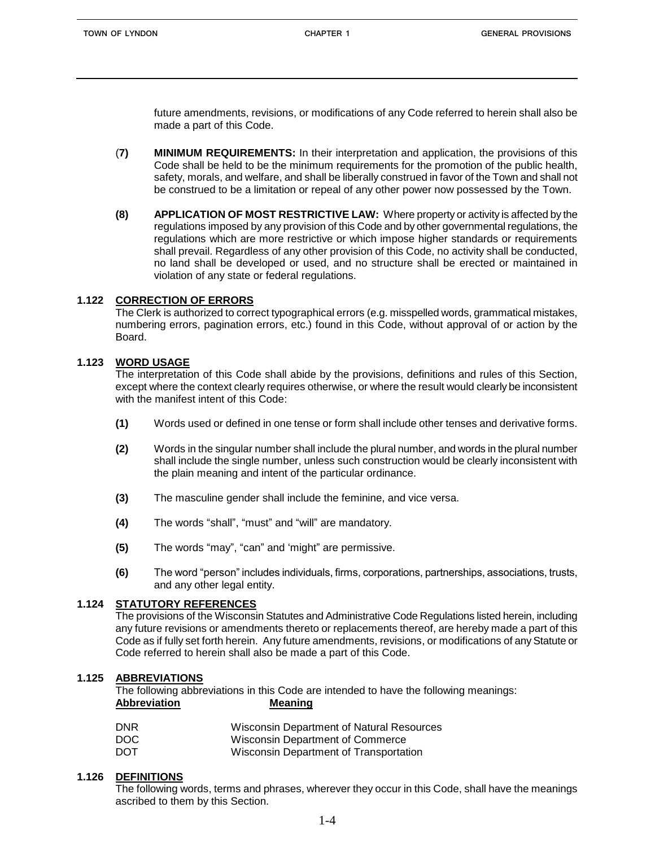future amendments, revisions, or modifications of any Code referred to herein shall also be made a part of this Code.

- (**7) MINIMUM REQUIREMENTS:** In their interpretation and application, the provisions of this Code shall be held to be the minimum requirements for the promotion of the public health, safety, morals, and welfare, and shall be liberally construed in favor of the Town and shall not be construed to be a limitation or repeal of any other power now possessed by the Town.
- **(8) APPLICATION OF MOST RESTRICTIVE LAW:** Where property or activity is affected by the regulations imposed by any provision of this Code and by other governmental regulations, the regulations which are more restrictive or which impose higher standards or requirements shall prevail. Regardless of any other provision of this Code, no activity shall be conducted, no land shall be developed or used, and no structure shall be erected or maintained in violation of any state or federal regulations.

#### **1.122 CORRECTION OF ERRORS**

The Clerk is authorized to correct typographical errors (e.g. misspelled words, grammatical mistakes, numbering errors, pagination errors, etc.) found in this Code, without approval of or action by the Board.

#### **1.123 WORD USAGE**

The interpretation of this Code shall abide by the provisions, definitions and rules of this Section, except where the context clearly requires otherwise, or where the result would clearly be inconsistent with the manifest intent of this Code:

- **(1)** Words used or defined in one tense or form shall include other tenses and derivative forms.
- **(2)** Words in the singular number shall include the plural number, and words in the plural number shall include the single number, unless such construction would be clearly inconsistent with the plain meaning and intent of the particular ordinance.
- **(3)** The masculine gender shall include the feminine, and vice versa.
- **(4)** The words "shall", "must" and "will" are mandatory.
- **(5)** The words "may", "can" and 'might" are permissive.
- **(6)** The word "person" includes individuals, firms, corporations, partnerships, associations, trusts, and any other legal entity.

# **1.124 STATUTORY REFERENCES**

The provisions of the Wisconsin Statutes and Administrative Code Regulations listed herein, including any future revisions or amendments thereto or replacements thereof, are hereby made a part of this Code as if fully set forth herein. Any future amendments, revisions, or modifications of any Statute or Code referred to herein shall also be made a part of this Code.

#### **1.125 ABBREVIATIONS**

The following abbreviations in this Code are intended to have the following meanings: **Abbreviation Meaning**

| <b>DNR</b> | Wisconsin Department of Natural Resources |
|------------|-------------------------------------------|
| DOC.       | Wisconsin Department of Commerce          |
| <b>DOT</b> | Wisconsin Department of Transportation    |

#### **1.126 DEFINITIONS**

The following words, terms and phrases, wherever they occur in this Code, shall have the meanings ascribed to them by this Section.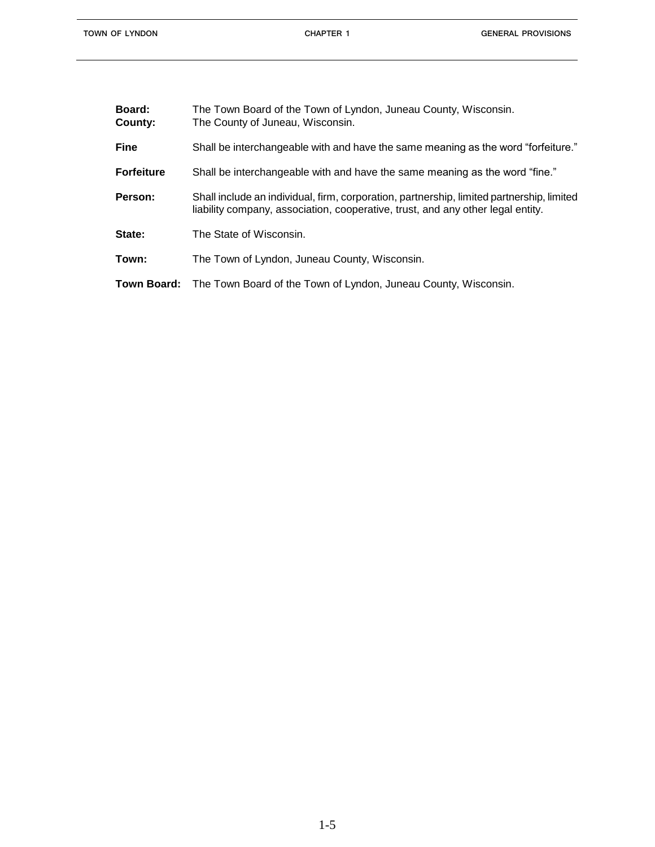| Board:<br>County: | The Town Board of the Town of Lyndon, Juneau County, Wisconsin.<br>The County of Juneau, Wisconsin.                                                                          |
|-------------------|------------------------------------------------------------------------------------------------------------------------------------------------------------------------------|
| <b>Fine</b>       | Shall be interchangeable with and have the same meaning as the word "forfeiture."                                                                                            |
| <b>Forfeiture</b> | Shall be interchangeable with and have the same meaning as the word "fine."                                                                                                  |
| Person:           | Shall include an individual, firm, corporation, partnership, limited partnership, limited<br>liability company, association, cooperative, trust, and any other legal entity. |
| State:            | The State of Wisconsin.                                                                                                                                                      |
| Town:             | The Town of Lyndon, Juneau County, Wisconsin.                                                                                                                                |
|                   | <b>Town Board:</b> The Town Board of the Town of Lyndon, Juneau County, Wisconsin.                                                                                           |